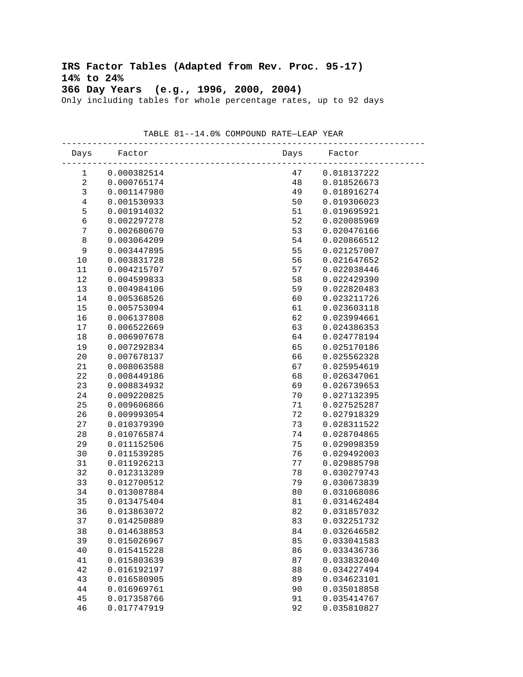# **IRS Factor Tables (Adapted from Rev. Proc. 95-17) 14% to 24% 366 Day Years (e.g., 1996, 2000, 2004)**

Only including tables for whole percentage rates, up to 92 days

| Days                    | Factor      | Days | Factor      |
|-------------------------|-------------|------|-------------|
| 1                       | 0.000382514 | 47   | 0.018137222 |
| $\overline{\mathbf{c}}$ | 0.000765174 | 48   | 0.018526673 |
| $\mathsf{3}$            | 0.001147980 | 49   | 0.018916274 |
| $\,4$                   | 0.001530933 | 50   | 0.019306023 |
| 5                       | 0.001914032 | 51   | 0.019695921 |
| $\epsilon$              | 0.002297278 | 52   | 0.020085969 |
| $\boldsymbol{7}$        | 0.002680670 | 53   | 0.020476166 |
| $\,8\,$                 | 0.003064209 | 54   | 0.020866512 |
| 9                       | 0.003447895 | 55   | 0.021257007 |
| 10                      | 0.003831728 | 56   | 0.021647652 |
| 11                      | 0.004215707 | 57   | 0.022038446 |
| 12                      | 0.004599833 | 58   | 0.022429390 |
| 13                      | 0.004984106 | 59   | 0.022820483 |
| 14                      | 0.005368526 | 60   | 0.023211726 |
| 15                      | 0.005753094 | 61   | 0.023603118 |
| 16                      | 0.006137808 | 62   | 0.023994661 |
| 17                      | 0.006522669 | 63   | 0.024386353 |
| $18$                    | 0.006907678 | 64   | 0.024778194 |
| 19                      | 0.007292834 | 65   | 0.025170186 |
| 20                      | 0.007678137 | 66   | 0.025562328 |
| 21                      | 0.008063588 | 67   | 0.025954619 |
| 22                      | 0.008449186 | 68   | 0.026347061 |
| 23                      | 0.008834932 | 69   | 0.026739653 |
| 24                      | 0.009220825 | 70   | 0.027132395 |
| 25                      | 0.009606866 | 71   | 0.027525287 |
| 26                      | 0.009993054 | 72   | 0.027918329 |
| 27                      | 0.010379390 | 73   | 0.028311522 |
| 28                      | 0.010765874 | 74   | 0.028704865 |
| 29                      | 0.011152506 | 75   | 0.029098359 |
| 30                      | 0.011539285 | 76   | 0.029492003 |
| 31                      | 0.011926213 | 77   | 0.029885798 |
| 32                      | 0.012313289 | 78   | 0.030279743 |
| 33                      | 0.012700512 | 79   | 0.030673839 |
| 34                      | 0.013087884 | 80   | 0.031068086 |
| 35                      | 0.013475404 | 81   | 0.031462484 |
| 36                      | 0.013863072 | 82   | 0.031857032 |
| 37                      | 0.014250889 | 83   | 0.032251732 |
| 38                      | 0.014638853 | 84   | 0.032646582 |
| 39                      | 0.015026967 | 85   | 0.033041583 |
| 40                      | 0.015415228 | 86   | 0.033436736 |
| 41                      | 0.015803639 | 87   | 0.033832040 |
| 42                      | 0.016192197 | 88   | 0.034227494 |
| 43                      | 0.016580905 | 89   | 0.034623101 |
| 44                      | 0.016969761 | 90   | 0.035018858 |
| 45                      | 0.017358766 | 91   | 0.035414767 |
| 46                      | 0.017747919 | 92   | 0.035810827 |

 TABLE 81--14.0% COMPOUND RATE—LEAP YEAR -----------------------------------------------------------------------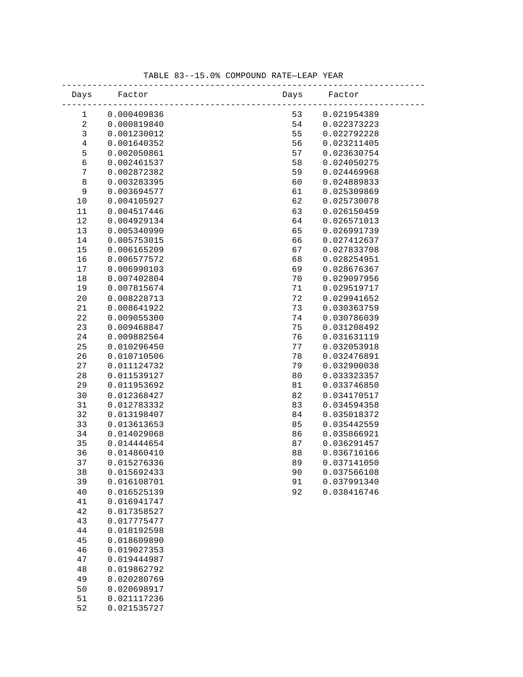| Days         | Factor                     | Days     | Factor                     |
|--------------|----------------------------|----------|----------------------------|
| 1            | 0.000409836                | 53       | 0.021954389                |
| $\sqrt{2}$   | 0.000819840                | 54       | 0.022373223                |
| $\mathbf{3}$ | 0.001230012                | 55       | 0.022792228                |
| $\,4$        | 0.001640352                | 56       | 0.023211405                |
| 5            | 0.002050861                | 57       | 0.023630754                |
| $\epsilon$   | 0.002461537                | 58       | 0.024050275                |
| $\sqrt{ }$   | 0.002872382                | 59       | 0.024469968                |
| $\,8\,$      | 0.003283395                | 60       | 0.024889833                |
| $\mathsf 9$  | 0.003694577                | 61       | 0.025309869                |
| 10           | 0.004105927                | 62       | 0.025730078                |
| 11           | 0.004517446                | 63       | 0.026150459                |
| 12           | 0.004929134                | 64       | 0.026571013                |
| 13           | 0.005340990                | 65       | 0.026991739                |
| 14           | 0.005753015                | 66       | 0.027412637                |
| 15           | 0.006165209                | 67       | 0.027833708                |
| 16           | 0.006577572                | 68       | 0.028254951                |
| 17           | 0.006990103                | 69       | 0.028676367                |
| 18           | 0.007402804                | 70       | 0.029097956                |
| 19           | 0.007815674                | 71       | 0.029519717                |
| 20           | 0.008228713                | 72       | 0.029941652                |
| 21           | 0.008641922                | 73       | 0.030363759                |
| 22           | 0.009055300                | 74       | 0.030786039                |
| 23           | 0.009468847                | 75       | 0.031208492                |
| 24           | 0.009882564                | 76       | 0.031631119                |
| 25           | 0.010296450                | 77       | 0.032053918                |
| 26           | 0.010710506                | 78       | 0.032476891                |
| 27           | 0.011124732                | 79       | 0.032900038                |
| 28<br>29     | 0.011539127<br>0.011953692 | 80<br>81 | 0.033323357<br>0.033746850 |
|              | 0.012368427                |          | 0.034170517                |
| 30<br>31     | 0.012783332                | 82<br>83 | 0.034594358                |
| 32           | 0.013198407                | 84       | 0.035018372                |
| 33           | 0.013613653                | 85       | 0.035442559                |
| 34           | 0.014029068                | 86       | 0.035866921                |
| 35           | 0.014444654                | 87       | 0.036291457                |
| 36           | 0.014860410                | 88       | 0.036716166                |
| 37           | 0.015276336                | 89       | 0.037141050                |
| 38           | 0.015692433                | 90       | 0.037566108                |
| 39           | 0.016108701                | 91       | 0.037991340                |
| 40           | 0.016525139                | 92       | 0.038416746                |
| 41           | 0.016941747                |          |                            |
| 42           | 0.017358527                |          |                            |
| 43           | 0.017775477                |          |                            |
| $4\,4$       | 0.018192598                |          |                            |
| 45           | 0.018609890                |          |                            |
| 46           | 0.019027353                |          |                            |
| 47           | 0.019444987                |          |                            |
| 48           | 0.019862792                |          |                            |
| 49           | 0.020280769                |          |                            |
| 50           | 0.020698917                |          |                            |
| 51           | 0.021117236                |          |                            |
| 52           | 0.021535727                |          |                            |

### TABLE 83--15.0% COMPOUND RATE—LEAP YEAR -----------------------------------------------------------------------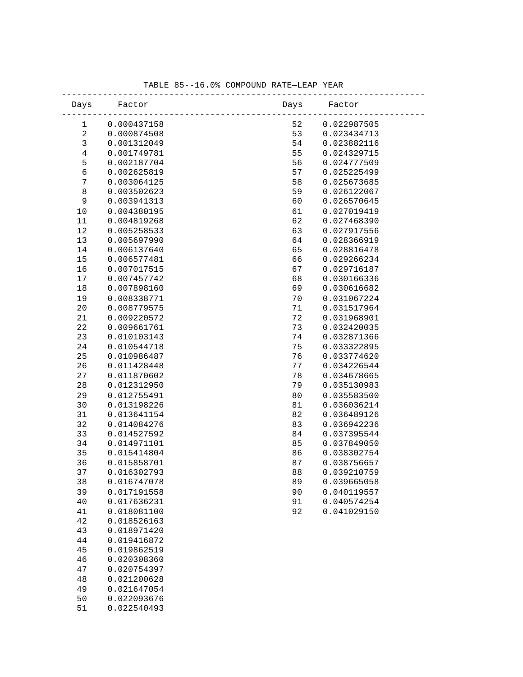| Days           | Factor      |                                | Days Factor |
|----------------|-------------|--------------------------------|-------------|
| $\mathbf{1}$   | 0.000437158 | ________________________<br>52 | 0.022987505 |
| $\sqrt{2}$     | 0.000874508 | 53                             | 0.023434713 |
| $\mathfrak{Z}$ |             |                                |             |
|                | 0.001312049 | 54                             | 0.023882116 |
| $\,4$          | 0.001749781 | 55                             | 0.024329715 |
| 5              | 0.002187704 | 56                             | 0.024777509 |
| $\epsilon$     | 0.002625819 | 57                             | 0.025225499 |
| $\sqrt{ }$     | 0.003064125 | 58                             | 0.025673685 |
| $\,8\,$        | 0.003502623 | 59                             | 0.026122067 |
| $\mathsf 9$    | 0.003941313 | 60                             | 0.026570645 |
| 10             | 0.004380195 | 61                             | 0.027019419 |
| 11             | 0.004819268 | 62                             | 0.027468390 |
| 12             | 0.005258533 | 63                             | 0.027917556 |
| 13             | 0.005697990 | 64                             | 0.028366919 |
| 14             | 0.006137640 | 65                             | 0.028816478 |
| 15             | 0.006577481 | 66                             | 0.029266234 |
| 16             | 0.007017515 | 67                             | 0.029716187 |
| 17             | 0.007457742 | 68                             | 0.030166336 |
| 18             | 0.007898160 | 69                             | 0.030616682 |
| 19             | 0.008338771 | 70                             | 0.031067224 |
| 20             | 0.008779575 | 71                             | 0.031517964 |
| 21             | 0.009220572 | 72                             | 0.031968901 |
| 22             | 0.009661761 | 73                             | 0.032420035 |
| 23             | 0.010103143 | 74                             | 0.032871366 |
| 24             | 0.010544718 | 75                             | 0.033322895 |
| 25             | 0.010986487 | 76                             | 0.033774620 |
| 26             | 0.011428448 | 77                             | 0.034226544 |
| 27             | 0.011870602 | 78                             | 0.034678665 |
| 28             | 0.012312950 | 79                             | 0.035130983 |
| 29             | 0.012755491 | 80                             | 0.035583500 |
| 30             | 0.013198226 | 81                             | 0.036036214 |
| 31             | 0.013641154 | 82                             | 0.036489126 |
| 32             | 0.014084276 | 83                             | 0.036942236 |
| 33             | 0.014527592 | 84                             | 0.037395544 |
| 34             | 0.014971101 | 85                             | 0.037849050 |
| 35             | 0.015414804 | 86                             | 0.038302754 |
| 36             | 0.015858701 | 87                             | 0.038756657 |
| 37             | 0.016302793 | 88                             | 0.039210759 |
| 38             | 0.016747078 | 89                             | 0.039665058 |
| 39             | 0.017191558 | 90                             | 0.040119557 |
| $40$           | 0.017636231 | 91                             | 0.040574254 |
| 41             | 0.018081100 | 92                             | 0.041029150 |
| 42             | 0.018526163 |                                |             |
| 43             | 0.018971420 |                                |             |
| 44             | 0.019416872 |                                |             |
| 45             | 0.019862519 |                                |             |
| 46             | 0.020308360 |                                |             |
| 47             | 0.020754397 |                                |             |
| 48             | 0.021200628 |                                |             |
| 49             | 0.021647054 |                                |             |
|                |             |                                |             |

 50 0.022093676 51 0.022540493

TABLE 85--16.0% COMPOUND RATE—LEAP YEAR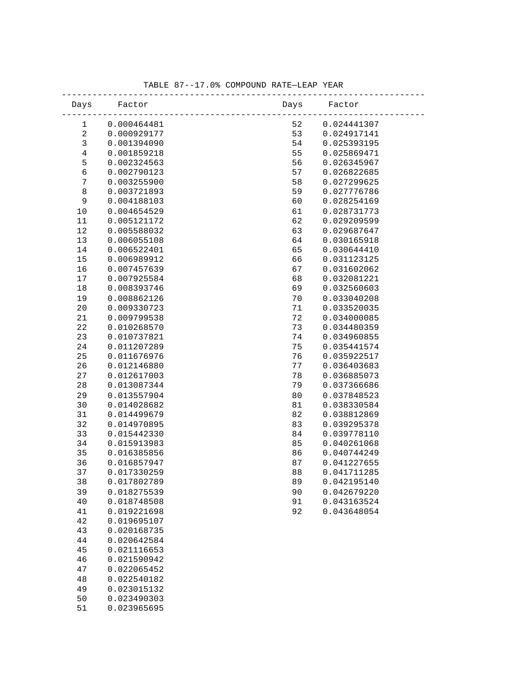| Days           | Factor      |    | Days Factor |
|----------------|-------------|----|-------------|
| $\mathbf{1}$   | 0.000464481 | 52 | 0.024441307 |
| $\sqrt{2}$     | 0.000929177 | 53 | 0.024917141 |
| $\mathfrak{Z}$ | 0.001394090 | 54 | 0.025393195 |
| $\,4$          | 0.001859218 | 55 | 0.025869471 |
| 5              | 0.002324563 | 56 | 0.026345967 |
| $\epsilon$     | 0.002790123 | 57 | 0.026822685 |
| $\sqrt{ }$     | 0.003255900 | 58 | 0.027299625 |
| $\,8\,$        | 0.003721893 | 59 | 0.027776786 |
| $\mathsf 9$    | 0.004188103 | 60 | 0.028254169 |
| 10             | 0.004654529 | 61 | 0.028731773 |
| 11             | 0.005121172 | 62 | 0.029209599 |
| 12             | 0.005588032 | 63 | 0.029687647 |
| 13             | 0.006055108 | 64 | 0.030165918 |
| 14             | 0.006522401 | 65 | 0.030644410 |
| 15             | 0.006989912 | 66 | 0.031123125 |
| 16             | 0.007457639 | 67 | 0.031602062 |
| 17             | 0.007925584 | 68 | 0.032081221 |
| 18             | 0.008393746 | 69 | 0.032560603 |
| 19             | 0.008862126 | 70 | 0.033040208 |
| 20             | 0.009330723 | 71 | 0.033520035 |
| 21             | 0.009799538 | 72 | 0.034000085 |
| 22             | 0.010268570 | 73 | 0.034480359 |
| 23             | 0.010737821 | 74 | 0.034960855 |
| 24             | 0.011207289 | 75 | 0.035441574 |
| 25             | 0.011676976 | 76 | 0.035922517 |
| 26             | 0.012146880 | 77 | 0.036403683 |
| 27             | 0.012617003 | 78 | 0.036885073 |
| 28             | 0.013087344 | 79 | 0.037366686 |
| 29             | 0.013557904 | 80 | 0.037848523 |
| 30             | 0.014028682 | 81 | 0.038330584 |
| 31             | 0.014499679 | 82 | 0.038812869 |
| 32             | 0.014970895 | 83 | 0.039295378 |
| 33             | 0.015442330 | 84 | 0.039778110 |
| 34             | 0.015913983 | 85 | 0.040261068 |
| 35             | 0.016385856 | 86 | 0.040744249 |
| 36             | 0.016857947 | 87 | 0.041227655 |
| 37             | 0.017330259 | 88 | 0.041711285 |
| 38             | 0.017802789 | 89 | 0.042195140 |
| 39             | 0.018275539 | 90 | 0.042679220 |
| $40$           | 0.018748508 | 91 | 0.043163524 |
| 41             | 0.019221698 | 92 | 0.043648054 |
| 42             | 0.019695107 |    |             |
| 43             | 0.020168735 |    |             |
| 44             | 0.020642584 |    |             |
| 45             | 0.021116653 |    |             |
| 46             | 0.021590942 |    |             |
| 47             | 0.022065452 |    |             |
| 48             | 0.022540182 |    |             |
| 49             | 0.023015132 |    |             |
| 50             | 0.023490303 |    |             |

51 0.023965695

### TABLE 87--17.0% COMPOUND RATE—LEAP YEAR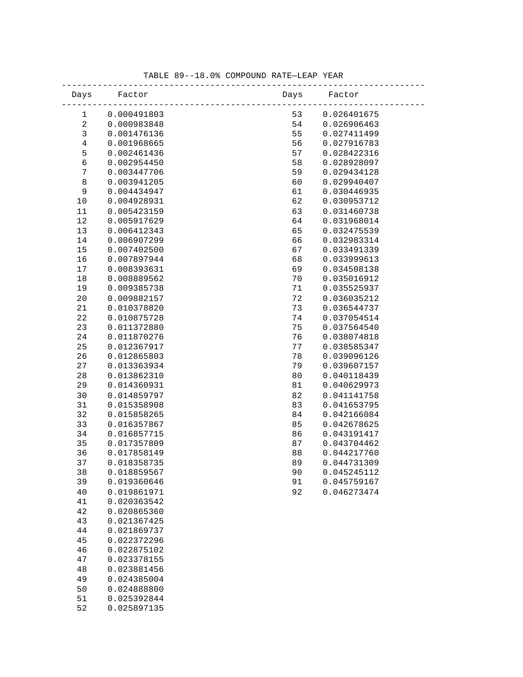| Days         | Factor                     | Days     | Factor                     |
|--------------|----------------------------|----------|----------------------------|
| $\mathbf 1$  | 0.000491803                | 53       | 0.026401675                |
| $\sqrt{2}$   | 0.000983848                | 54       | 0.026906463                |
| $\mathsf{3}$ | 0.001476136                | 55       | 0.027411499                |
| $\,4$        | 0.001968665                | 56       | 0.027916783                |
| 5            | 0.002461436                | 57       | 0.028422316                |
| $\epsilon$   | 0.002954450                | 58       | 0.028928097                |
| $\sqrt{ }$   | 0.003447706                | 59       | 0.029434128                |
| $\,8\,$      | 0.003941205                | 60       | 0.029940407                |
| 9            | 0.004434947                | 61       | 0.030446935                |
| 10           | 0.004928931                | 62       | 0.030953712                |
| 11           | 0.005423159                | 63       | 0.031460738                |
| 12           | 0.005917629                | 64       | 0.031968014                |
| 13           | 0.006412343                | 65       | 0.032475539                |
| 14           | 0.006907299                | 66       | 0.032983314                |
| 15           | 0.007402500                | 67       | 0.033491339                |
| 16           | 0.007897944                | 68       | 0.033999613                |
| 17           | 0.008393631                | 69       | 0.034508138                |
| $18\,$       | 0.008889562                | 70       | 0.035016912                |
| 19           | 0.009385738                | 71       | 0.035525937                |
| 20           | 0.009882157                | 72       | 0.036035212                |
| 21           | 0.010378820                | 73       | 0.036544737                |
| 22           | 0.010875728                | 74       | 0.037054514                |
| 23           | 0.011372880                | 75       | 0.037564540                |
| 24           | 0.011870276                | 76       | 0.038074818                |
| 25<br>26     | 0.012367917<br>0.012865803 | 77<br>78 | 0.038585347                |
| 27           | 0.013363934                | 79       | 0.039096126<br>0.039607157 |
| 28           | 0.013862310                | 80       | 0.040118439                |
| 29           | 0.014360931                | 81       | 0.040629973                |
| 30           | 0.014859797                | 82       | 0.041141758                |
| 31           | 0.015358908                | 83       | 0.041653795                |
| 32           | 0.015858265                | 84       | 0.042166084                |
| 33           | 0.016357867                | 85       | 0.042678625                |
| 34           | 0.016857715                | 86       | 0.043191417                |
| 35           | 0.017357809                | 87       | 0.043704462                |
| 36           | 0.017858149                | 88       | 0.044217760                |
| 37           | 0.018358735                | 89       | 0.044731309                |
| 38           | 0.018859567                | 90       | 0.045245112                |
| 39           | 0.019360646                | 91       | 0.045759167                |
| 40           | 0.019861971                | 92       | 0.046273474                |
| 41           | 0.020363542                |          |                            |
| 42           | 0.020865360                |          |                            |
| 43           | 0.021367425                |          |                            |
| 44           | 0.021869737                |          |                            |
| 45           | 0.022372296                |          |                            |
| 46           | 0.022875102                |          |                            |
| 47           | 0.023378155                |          |                            |
| 48           | 0.023881456                |          |                            |
| 49           | 0.024385004                |          |                            |
| 50           | 0.024888800                |          |                            |
| 51           | 0.025392844                |          |                            |
| 52           | 0.025897135                |          |                            |

### TABLE 89--18.0% COMPOUND RATE—LEAP YEAR -----------------------------------------------------------------------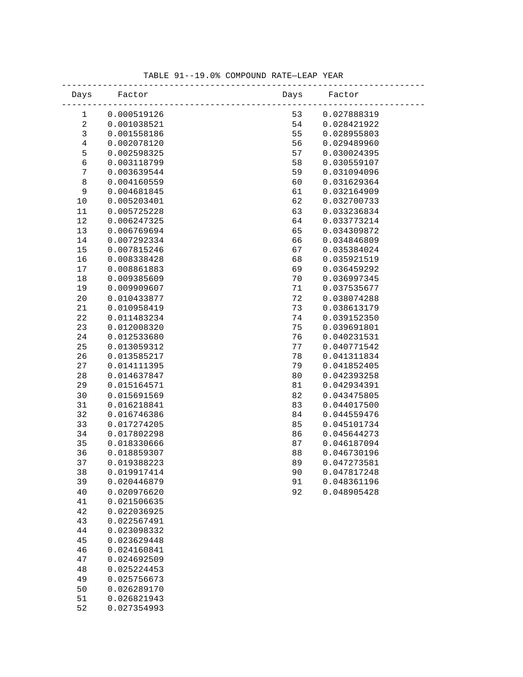| Days        | Factor                     | Days | Factor      |
|-------------|----------------------------|------|-------------|
| $\mathbf 1$ | 0.000519126                | 53   | 0.027888319 |
| $\sqrt{2}$  | 0.001038521                | 54   | 0.028421922 |
| $\mathsf 3$ | 0.001558186                | 55   | 0.028955803 |
| $\,4$       | 0.002078120                | 56   | 0.029489960 |
| 5           | 0.002598325                | 57   | 0.030024395 |
| $\epsilon$  | 0.003118799                | 58   | 0.030559107 |
| $\sqrt{ }$  | 0.003639544                | 59   | 0.031094096 |
| $\,8\,$     | 0.004160559                | 60   | 0.031629364 |
| $\mathsf 9$ | 0.004681845                | 61   | 0.032164909 |
| 10          | 0.005203401                | 62   | 0.032700733 |
| 11          | 0.005725228                | 63   | 0.033236834 |
| 12          | 0.006247325                | 64   | 0.033773214 |
| 13          | 0.006769694                | 65   | 0.034309872 |
| 14          | 0.007292334                | 66   | 0.034846809 |
| 15          | 0.007815246                | 67   | 0.035384024 |
| 16          | 0.008338428                | 68   | 0.035921519 |
| $17$        | 0.008861883                | 69   | 0.036459292 |
| $18\,$      | 0.009385609                | 70   | 0.036997345 |
| 19          | 0.009909607                | 71   | 0.037535677 |
| 20          | 0.010433877                | 72   | 0.038074288 |
| 21          | 0.010958419                | 73   | 0.038613179 |
| 22          | 0.011483234                | 74   | 0.039152350 |
| 23          | 0.012008320                | 75   | 0.039691801 |
| 24          | 0.012533680                | 76   | 0.040231531 |
| 25          | 0.013059312                | 77   | 0.040771542 |
| 26          | 0.013585217                | 78   | 0.041311834 |
| 27          | 0.014111395                | 79   | 0.041852405 |
| 28          | 0.014637847                | 80   | 0.042393258 |
| 29          | 0.015164571                | 81   | 0.042934391 |
| 30          | 0.015691569                | 82   | 0.043475805 |
| 31          | 0.016218841                | 83   | 0.044017500 |
| 32          | 0.016746386                | 84   | 0.044559476 |
| 33          | 0.017274205                | 85   | 0.045101734 |
| 34          | 0.017802298                | 86   | 0.045644273 |
| 35          | 0.018330666                | 87   | 0.046187094 |
| 36          | 0.018859307                | 88   | 0.046730196 |
| 37          | 0.019388223                | 89   | 0.047273581 |
| 38          | 0.019917414                | 90   | 0.047817248 |
| 39          | 0.020446879                | 91   | 0.048361196 |
| 40          | 0.020976620                | 92   | 0.048905428 |
| 41          | 0.021506635                |      |             |
| 42          | 0.022036925                |      |             |
| 43          | 0.022567491                |      |             |
| 44          | 0.023098332                |      |             |
| 45          | 0.023629448                |      |             |
| 46          | 0.024160841                |      |             |
| 47          | 0.024692509                |      |             |
| 48          | 0.025224453                |      |             |
| 49          | 0.025756673                |      |             |
| 50          | 0.026289170<br>0.026821943 |      |             |
| 51<br>52    |                            |      |             |
|             | 0.027354993                |      |             |

### TABLE 91--19.0% COMPOUND RATE—LEAP YEAR -----------------------------------------------------------------------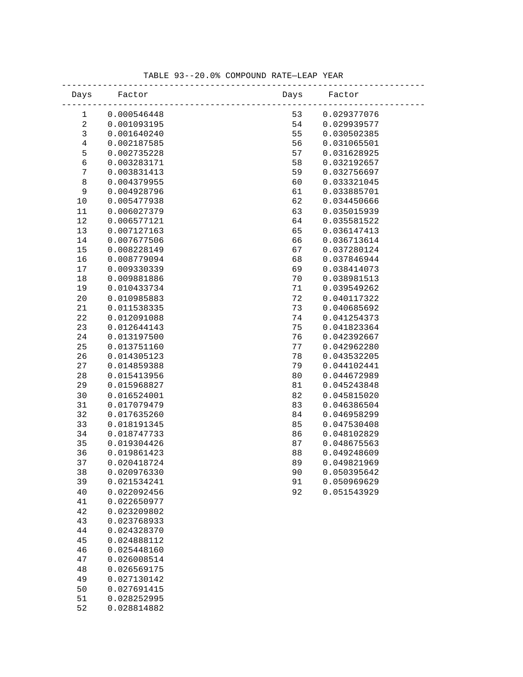| 0.000546448<br>53<br>0.029377076<br>1<br>$\sqrt{2}$<br>0.001093195<br>54<br>0.029939577<br>$\mathsf 3$<br>55<br>0.001640240<br>0.030502385<br>$\,4$<br>56<br>0.002187585<br>0.031065501<br>5<br>57<br>0.002735228<br>0.031628925<br>$\epsilon$<br>58<br>0.003283171<br>0.032192657<br>$\sqrt{ }$<br>59<br>0.003831413<br>0.032756697<br>$\,8\,$<br>60<br>0.004379955<br>0.033321045<br>$\mathsf 9$<br>0.004928796<br>61<br>0.033885701<br>62<br>10<br>0.005477938<br>0.034450666<br>63<br>11<br>0.006027379<br>0.035015939<br>64<br>12<br>0.006577121<br>0.035581522<br>13<br>0.007127163<br>65<br>0.036147413<br>0.007677506<br>14<br>66<br>0.036713614<br>$15$<br>67<br>0.008228149<br>0.037280124<br>16<br>68<br>0.008779094<br>0.037846944<br>17<br>69<br>0.009330339<br>0.038414073<br>18<br>0.009881886<br>70<br>0.038981513<br>19<br>0.010433734<br>71<br>0.039549262<br>20<br>0.010985883<br>72<br>0.040117322<br>73<br>21<br>0.011538335<br>0.040685692<br>22<br>74<br>0.012091088<br>0.041254373<br>75<br>23<br>0.012644143<br>0.041823364<br>24<br>0.013197500<br>76<br>0.042392667<br>77<br>25<br>0.013751160<br>0.042962280<br>78<br>26<br>0.014305123<br>0.043532205<br>79<br>27<br>0.014859388<br>0.044102441<br>28<br>80<br>0.044672989<br>0.015413956<br>29<br>0.015968827<br>81<br>0.045243848<br>0.016524001<br>82<br>30<br>0.045815020<br>0.017079479<br>83<br>0.046386504<br>31<br>0.017635260<br>32<br>84<br>0.046958299<br>85<br>33<br>0.018191345<br>0.047530408<br>34<br>0.018747733<br>86<br>0.048102829<br>87<br>35<br>0.019304426<br>0.048675563<br>36<br>0.019861423<br>88<br>0.049248609<br>37<br>0.020418724<br>89<br>0.049821969<br>38<br>0.020976330<br>90<br>0.050395642<br>0.021534241<br>0.050969629<br>39<br>91<br>40<br>0.022092456<br>92<br>0.051543929<br>0.022650977<br>41<br>42<br>0.023209802<br>43<br>0.023768933<br>$4\,4$<br>0.024328370<br>45<br>0.024888112<br>46<br>0.025448160<br>0.026008514<br>47<br>48<br>0.026569175<br>0.027130142<br>49<br>0.027691415<br>50<br>51<br>0.028252995 | Days | Factor | Days | Factor |  |
|-------------------------------------------------------------------------------------------------------------------------------------------------------------------------------------------------------------------------------------------------------------------------------------------------------------------------------------------------------------------------------------------------------------------------------------------------------------------------------------------------------------------------------------------------------------------------------------------------------------------------------------------------------------------------------------------------------------------------------------------------------------------------------------------------------------------------------------------------------------------------------------------------------------------------------------------------------------------------------------------------------------------------------------------------------------------------------------------------------------------------------------------------------------------------------------------------------------------------------------------------------------------------------------------------------------------------------------------------------------------------------------------------------------------------------------------------------------------------------------------------------------------------------------------------------------------------------------------------------------------------------------------------------------------------------------------------------------------------------------------------------------------------------------------------------------------------------------------------------------------------------------------------------------------------------------------------------------------------------------------------------------------------------------------|------|--------|------|--------|--|
|                                                                                                                                                                                                                                                                                                                                                                                                                                                                                                                                                                                                                                                                                                                                                                                                                                                                                                                                                                                                                                                                                                                                                                                                                                                                                                                                                                                                                                                                                                                                                                                                                                                                                                                                                                                                                                                                                                                                                                                                                                           |      |        |      |        |  |
|                                                                                                                                                                                                                                                                                                                                                                                                                                                                                                                                                                                                                                                                                                                                                                                                                                                                                                                                                                                                                                                                                                                                                                                                                                                                                                                                                                                                                                                                                                                                                                                                                                                                                                                                                                                                                                                                                                                                                                                                                                           |      |        |      |        |  |
|                                                                                                                                                                                                                                                                                                                                                                                                                                                                                                                                                                                                                                                                                                                                                                                                                                                                                                                                                                                                                                                                                                                                                                                                                                                                                                                                                                                                                                                                                                                                                                                                                                                                                                                                                                                                                                                                                                                                                                                                                                           |      |        |      |        |  |
|                                                                                                                                                                                                                                                                                                                                                                                                                                                                                                                                                                                                                                                                                                                                                                                                                                                                                                                                                                                                                                                                                                                                                                                                                                                                                                                                                                                                                                                                                                                                                                                                                                                                                                                                                                                                                                                                                                                                                                                                                                           |      |        |      |        |  |
|                                                                                                                                                                                                                                                                                                                                                                                                                                                                                                                                                                                                                                                                                                                                                                                                                                                                                                                                                                                                                                                                                                                                                                                                                                                                                                                                                                                                                                                                                                                                                                                                                                                                                                                                                                                                                                                                                                                                                                                                                                           |      |        |      |        |  |
|                                                                                                                                                                                                                                                                                                                                                                                                                                                                                                                                                                                                                                                                                                                                                                                                                                                                                                                                                                                                                                                                                                                                                                                                                                                                                                                                                                                                                                                                                                                                                                                                                                                                                                                                                                                                                                                                                                                                                                                                                                           |      |        |      |        |  |
|                                                                                                                                                                                                                                                                                                                                                                                                                                                                                                                                                                                                                                                                                                                                                                                                                                                                                                                                                                                                                                                                                                                                                                                                                                                                                                                                                                                                                                                                                                                                                                                                                                                                                                                                                                                                                                                                                                                                                                                                                                           |      |        |      |        |  |
|                                                                                                                                                                                                                                                                                                                                                                                                                                                                                                                                                                                                                                                                                                                                                                                                                                                                                                                                                                                                                                                                                                                                                                                                                                                                                                                                                                                                                                                                                                                                                                                                                                                                                                                                                                                                                                                                                                                                                                                                                                           |      |        |      |        |  |
|                                                                                                                                                                                                                                                                                                                                                                                                                                                                                                                                                                                                                                                                                                                                                                                                                                                                                                                                                                                                                                                                                                                                                                                                                                                                                                                                                                                                                                                                                                                                                                                                                                                                                                                                                                                                                                                                                                                                                                                                                                           |      |        |      |        |  |
|                                                                                                                                                                                                                                                                                                                                                                                                                                                                                                                                                                                                                                                                                                                                                                                                                                                                                                                                                                                                                                                                                                                                                                                                                                                                                                                                                                                                                                                                                                                                                                                                                                                                                                                                                                                                                                                                                                                                                                                                                                           |      |        |      |        |  |
|                                                                                                                                                                                                                                                                                                                                                                                                                                                                                                                                                                                                                                                                                                                                                                                                                                                                                                                                                                                                                                                                                                                                                                                                                                                                                                                                                                                                                                                                                                                                                                                                                                                                                                                                                                                                                                                                                                                                                                                                                                           |      |        |      |        |  |
|                                                                                                                                                                                                                                                                                                                                                                                                                                                                                                                                                                                                                                                                                                                                                                                                                                                                                                                                                                                                                                                                                                                                                                                                                                                                                                                                                                                                                                                                                                                                                                                                                                                                                                                                                                                                                                                                                                                                                                                                                                           |      |        |      |        |  |
|                                                                                                                                                                                                                                                                                                                                                                                                                                                                                                                                                                                                                                                                                                                                                                                                                                                                                                                                                                                                                                                                                                                                                                                                                                                                                                                                                                                                                                                                                                                                                                                                                                                                                                                                                                                                                                                                                                                                                                                                                                           |      |        |      |        |  |
|                                                                                                                                                                                                                                                                                                                                                                                                                                                                                                                                                                                                                                                                                                                                                                                                                                                                                                                                                                                                                                                                                                                                                                                                                                                                                                                                                                                                                                                                                                                                                                                                                                                                                                                                                                                                                                                                                                                                                                                                                                           |      |        |      |        |  |
|                                                                                                                                                                                                                                                                                                                                                                                                                                                                                                                                                                                                                                                                                                                                                                                                                                                                                                                                                                                                                                                                                                                                                                                                                                                                                                                                                                                                                                                                                                                                                                                                                                                                                                                                                                                                                                                                                                                                                                                                                                           |      |        |      |        |  |
|                                                                                                                                                                                                                                                                                                                                                                                                                                                                                                                                                                                                                                                                                                                                                                                                                                                                                                                                                                                                                                                                                                                                                                                                                                                                                                                                                                                                                                                                                                                                                                                                                                                                                                                                                                                                                                                                                                                                                                                                                                           |      |        |      |        |  |
|                                                                                                                                                                                                                                                                                                                                                                                                                                                                                                                                                                                                                                                                                                                                                                                                                                                                                                                                                                                                                                                                                                                                                                                                                                                                                                                                                                                                                                                                                                                                                                                                                                                                                                                                                                                                                                                                                                                                                                                                                                           |      |        |      |        |  |
|                                                                                                                                                                                                                                                                                                                                                                                                                                                                                                                                                                                                                                                                                                                                                                                                                                                                                                                                                                                                                                                                                                                                                                                                                                                                                                                                                                                                                                                                                                                                                                                                                                                                                                                                                                                                                                                                                                                                                                                                                                           |      |        |      |        |  |
|                                                                                                                                                                                                                                                                                                                                                                                                                                                                                                                                                                                                                                                                                                                                                                                                                                                                                                                                                                                                                                                                                                                                                                                                                                                                                                                                                                                                                                                                                                                                                                                                                                                                                                                                                                                                                                                                                                                                                                                                                                           |      |        |      |        |  |
|                                                                                                                                                                                                                                                                                                                                                                                                                                                                                                                                                                                                                                                                                                                                                                                                                                                                                                                                                                                                                                                                                                                                                                                                                                                                                                                                                                                                                                                                                                                                                                                                                                                                                                                                                                                                                                                                                                                                                                                                                                           |      |        |      |        |  |
|                                                                                                                                                                                                                                                                                                                                                                                                                                                                                                                                                                                                                                                                                                                                                                                                                                                                                                                                                                                                                                                                                                                                                                                                                                                                                                                                                                                                                                                                                                                                                                                                                                                                                                                                                                                                                                                                                                                                                                                                                                           |      |        |      |        |  |
|                                                                                                                                                                                                                                                                                                                                                                                                                                                                                                                                                                                                                                                                                                                                                                                                                                                                                                                                                                                                                                                                                                                                                                                                                                                                                                                                                                                                                                                                                                                                                                                                                                                                                                                                                                                                                                                                                                                                                                                                                                           |      |        |      |        |  |
|                                                                                                                                                                                                                                                                                                                                                                                                                                                                                                                                                                                                                                                                                                                                                                                                                                                                                                                                                                                                                                                                                                                                                                                                                                                                                                                                                                                                                                                                                                                                                                                                                                                                                                                                                                                                                                                                                                                                                                                                                                           |      |        |      |        |  |
|                                                                                                                                                                                                                                                                                                                                                                                                                                                                                                                                                                                                                                                                                                                                                                                                                                                                                                                                                                                                                                                                                                                                                                                                                                                                                                                                                                                                                                                                                                                                                                                                                                                                                                                                                                                                                                                                                                                                                                                                                                           |      |        |      |        |  |
|                                                                                                                                                                                                                                                                                                                                                                                                                                                                                                                                                                                                                                                                                                                                                                                                                                                                                                                                                                                                                                                                                                                                                                                                                                                                                                                                                                                                                                                                                                                                                                                                                                                                                                                                                                                                                                                                                                                                                                                                                                           |      |        |      |        |  |
|                                                                                                                                                                                                                                                                                                                                                                                                                                                                                                                                                                                                                                                                                                                                                                                                                                                                                                                                                                                                                                                                                                                                                                                                                                                                                                                                                                                                                                                                                                                                                                                                                                                                                                                                                                                                                                                                                                                                                                                                                                           |      |        |      |        |  |
|                                                                                                                                                                                                                                                                                                                                                                                                                                                                                                                                                                                                                                                                                                                                                                                                                                                                                                                                                                                                                                                                                                                                                                                                                                                                                                                                                                                                                                                                                                                                                                                                                                                                                                                                                                                                                                                                                                                                                                                                                                           |      |        |      |        |  |
|                                                                                                                                                                                                                                                                                                                                                                                                                                                                                                                                                                                                                                                                                                                                                                                                                                                                                                                                                                                                                                                                                                                                                                                                                                                                                                                                                                                                                                                                                                                                                                                                                                                                                                                                                                                                                                                                                                                                                                                                                                           |      |        |      |        |  |
|                                                                                                                                                                                                                                                                                                                                                                                                                                                                                                                                                                                                                                                                                                                                                                                                                                                                                                                                                                                                                                                                                                                                                                                                                                                                                                                                                                                                                                                                                                                                                                                                                                                                                                                                                                                                                                                                                                                                                                                                                                           |      |        |      |        |  |
|                                                                                                                                                                                                                                                                                                                                                                                                                                                                                                                                                                                                                                                                                                                                                                                                                                                                                                                                                                                                                                                                                                                                                                                                                                                                                                                                                                                                                                                                                                                                                                                                                                                                                                                                                                                                                                                                                                                                                                                                                                           |      |        |      |        |  |
|                                                                                                                                                                                                                                                                                                                                                                                                                                                                                                                                                                                                                                                                                                                                                                                                                                                                                                                                                                                                                                                                                                                                                                                                                                                                                                                                                                                                                                                                                                                                                                                                                                                                                                                                                                                                                                                                                                                                                                                                                                           |      |        |      |        |  |
|                                                                                                                                                                                                                                                                                                                                                                                                                                                                                                                                                                                                                                                                                                                                                                                                                                                                                                                                                                                                                                                                                                                                                                                                                                                                                                                                                                                                                                                                                                                                                                                                                                                                                                                                                                                                                                                                                                                                                                                                                                           |      |        |      |        |  |
|                                                                                                                                                                                                                                                                                                                                                                                                                                                                                                                                                                                                                                                                                                                                                                                                                                                                                                                                                                                                                                                                                                                                                                                                                                                                                                                                                                                                                                                                                                                                                                                                                                                                                                                                                                                                                                                                                                                                                                                                                                           |      |        |      |        |  |
|                                                                                                                                                                                                                                                                                                                                                                                                                                                                                                                                                                                                                                                                                                                                                                                                                                                                                                                                                                                                                                                                                                                                                                                                                                                                                                                                                                                                                                                                                                                                                                                                                                                                                                                                                                                                                                                                                                                                                                                                                                           |      |        |      |        |  |
|                                                                                                                                                                                                                                                                                                                                                                                                                                                                                                                                                                                                                                                                                                                                                                                                                                                                                                                                                                                                                                                                                                                                                                                                                                                                                                                                                                                                                                                                                                                                                                                                                                                                                                                                                                                                                                                                                                                                                                                                                                           |      |        |      |        |  |
|                                                                                                                                                                                                                                                                                                                                                                                                                                                                                                                                                                                                                                                                                                                                                                                                                                                                                                                                                                                                                                                                                                                                                                                                                                                                                                                                                                                                                                                                                                                                                                                                                                                                                                                                                                                                                                                                                                                                                                                                                                           |      |        |      |        |  |
|                                                                                                                                                                                                                                                                                                                                                                                                                                                                                                                                                                                                                                                                                                                                                                                                                                                                                                                                                                                                                                                                                                                                                                                                                                                                                                                                                                                                                                                                                                                                                                                                                                                                                                                                                                                                                                                                                                                                                                                                                                           |      |        |      |        |  |
|                                                                                                                                                                                                                                                                                                                                                                                                                                                                                                                                                                                                                                                                                                                                                                                                                                                                                                                                                                                                                                                                                                                                                                                                                                                                                                                                                                                                                                                                                                                                                                                                                                                                                                                                                                                                                                                                                                                                                                                                                                           |      |        |      |        |  |
|                                                                                                                                                                                                                                                                                                                                                                                                                                                                                                                                                                                                                                                                                                                                                                                                                                                                                                                                                                                                                                                                                                                                                                                                                                                                                                                                                                                                                                                                                                                                                                                                                                                                                                                                                                                                                                                                                                                                                                                                                                           |      |        |      |        |  |
|                                                                                                                                                                                                                                                                                                                                                                                                                                                                                                                                                                                                                                                                                                                                                                                                                                                                                                                                                                                                                                                                                                                                                                                                                                                                                                                                                                                                                                                                                                                                                                                                                                                                                                                                                                                                                                                                                                                                                                                                                                           |      |        |      |        |  |
|                                                                                                                                                                                                                                                                                                                                                                                                                                                                                                                                                                                                                                                                                                                                                                                                                                                                                                                                                                                                                                                                                                                                                                                                                                                                                                                                                                                                                                                                                                                                                                                                                                                                                                                                                                                                                                                                                                                                                                                                                                           |      |        |      |        |  |
|                                                                                                                                                                                                                                                                                                                                                                                                                                                                                                                                                                                                                                                                                                                                                                                                                                                                                                                                                                                                                                                                                                                                                                                                                                                                                                                                                                                                                                                                                                                                                                                                                                                                                                                                                                                                                                                                                                                                                                                                                                           |      |        |      |        |  |
|                                                                                                                                                                                                                                                                                                                                                                                                                                                                                                                                                                                                                                                                                                                                                                                                                                                                                                                                                                                                                                                                                                                                                                                                                                                                                                                                                                                                                                                                                                                                                                                                                                                                                                                                                                                                                                                                                                                                                                                                                                           |      |        |      |        |  |
|                                                                                                                                                                                                                                                                                                                                                                                                                                                                                                                                                                                                                                                                                                                                                                                                                                                                                                                                                                                                                                                                                                                                                                                                                                                                                                                                                                                                                                                                                                                                                                                                                                                                                                                                                                                                                                                                                                                                                                                                                                           |      |        |      |        |  |
|                                                                                                                                                                                                                                                                                                                                                                                                                                                                                                                                                                                                                                                                                                                                                                                                                                                                                                                                                                                                                                                                                                                                                                                                                                                                                                                                                                                                                                                                                                                                                                                                                                                                                                                                                                                                                                                                                                                                                                                                                                           |      |        |      |        |  |
|                                                                                                                                                                                                                                                                                                                                                                                                                                                                                                                                                                                                                                                                                                                                                                                                                                                                                                                                                                                                                                                                                                                                                                                                                                                                                                                                                                                                                                                                                                                                                                                                                                                                                                                                                                                                                                                                                                                                                                                                                                           |      |        |      |        |  |
|                                                                                                                                                                                                                                                                                                                                                                                                                                                                                                                                                                                                                                                                                                                                                                                                                                                                                                                                                                                                                                                                                                                                                                                                                                                                                                                                                                                                                                                                                                                                                                                                                                                                                                                                                                                                                                                                                                                                                                                                                                           |      |        |      |        |  |
|                                                                                                                                                                                                                                                                                                                                                                                                                                                                                                                                                                                                                                                                                                                                                                                                                                                                                                                                                                                                                                                                                                                                                                                                                                                                                                                                                                                                                                                                                                                                                                                                                                                                                                                                                                                                                                                                                                                                                                                                                                           |      |        |      |        |  |
|                                                                                                                                                                                                                                                                                                                                                                                                                                                                                                                                                                                                                                                                                                                                                                                                                                                                                                                                                                                                                                                                                                                                                                                                                                                                                                                                                                                                                                                                                                                                                                                                                                                                                                                                                                                                                                                                                                                                                                                                                                           |      |        |      |        |  |
|                                                                                                                                                                                                                                                                                                                                                                                                                                                                                                                                                                                                                                                                                                                                                                                                                                                                                                                                                                                                                                                                                                                                                                                                                                                                                                                                                                                                                                                                                                                                                                                                                                                                                                                                                                                                                                                                                                                                                                                                                                           |      |        |      |        |  |
| 52<br>0.028814882                                                                                                                                                                                                                                                                                                                                                                                                                                                                                                                                                                                                                                                                                                                                                                                                                                                                                                                                                                                                                                                                                                                                                                                                                                                                                                                                                                                                                                                                                                                                                                                                                                                                                                                                                                                                                                                                                                                                                                                                                         |      |        |      |        |  |

### TABLE 93--20.0% COMPOUND RATE—LEAP YEAR -----------------------------------------------------------------------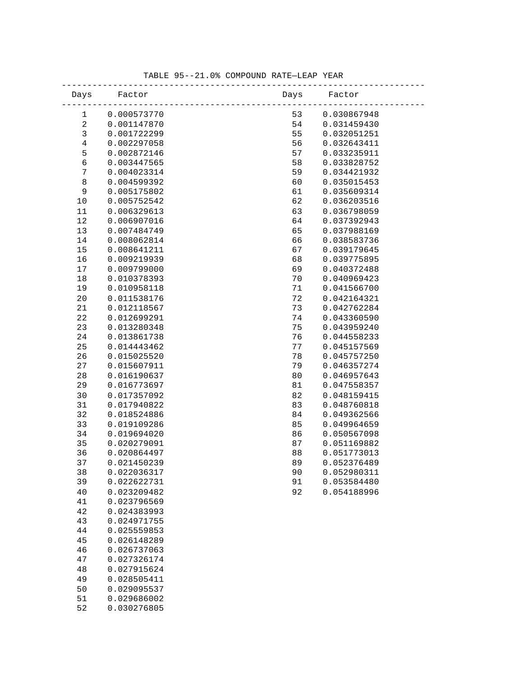| Days             | Factor                     | Days     | Factor                     |  |
|------------------|----------------------------|----------|----------------------------|--|
| 1                | 0.000573770                | 53       | 0.030867948                |  |
| $\sqrt{2}$       | 0.001147870                | 54       | 0.031459430                |  |
| $\mathsf 3$      | 0.001722299                | 55       | 0.032051251                |  |
| $\bf 4$          | 0.002297058                | 56       | 0.032643411                |  |
| 5                | 0.002872146                | 57       | 0.033235911                |  |
| $\overline{6}$   | 0.003447565                | 58       | 0.033828752                |  |
| $\boldsymbol{7}$ | 0.004023314                | 59       | 0.034421932                |  |
| $\,8\,$          | 0.004599392                | 60       | 0.035015453                |  |
| 9                | 0.005175802                | 61       | 0.035609314                |  |
| 10               | 0.005752542                | 62       | 0.036203516                |  |
| 11               | 0.006329613                | 63       | 0.036798059                |  |
| 12               | 0.006907016                | 64       | 0.037392943                |  |
| 13               | 0.007484749                | 65       | 0.037988169                |  |
| 14               | 0.008062814                | 66       | 0.038583736                |  |
| 15               | 0.008641211                | 67       | 0.039179645                |  |
| 16               | 0.009219939                | 68       | 0.039775895                |  |
| 17               | 0.009799000                | 69       | 0.040372488                |  |
| 18               | 0.010378393                | 70       | 0.040969423                |  |
| 19               | 0.010958118                | 71       | 0.041566700                |  |
| 20               | 0.011538176                | 72       | 0.042164321                |  |
| 21               | 0.012118567                | 73       | 0.042762284                |  |
| 22               | 0.012699291                | 74       | 0.043360590                |  |
| 23               | 0.013280348                | 75       | 0.043959240                |  |
| 24               | 0.013861738                | 76       | 0.044558233                |  |
| 25               | 0.014443462                | 77       | 0.045157569                |  |
| 26               | 0.015025520                | 78       | 0.045757250                |  |
| 27               | 0.015607911                | 79       | 0.046357274                |  |
| 28               | 0.016190637                | 80       | 0.046957643                |  |
| 29               | 0.016773697                | 81       | 0.047558357                |  |
| 30               | 0.017357092                | 82       | 0.048159415                |  |
| 31               | 0.017940822                | 83       | 0.048760818                |  |
| 32               | 0.018524886                | 84       | 0.049362566<br>0.049964659 |  |
| 33<br>34         | 0.019109286<br>0.019694020 | 85       | 0.050567098                |  |
| 35               | 0.020279091                | 86<br>87 | 0.051169882                |  |
| 36               | 0.020864497                | 88       | 0.051773013                |  |
| 37               | 0.021450239                | 89       | 0.052376489                |  |
| 38               | 0.022036317                | 90       | 0.052980311                |  |
| 39               | 0.022622731                | 91       | 0.053584480                |  |
| $40$             | 0.023209482                | 92       | 0.054188996                |  |
| 41               | 0.023796569                |          |                            |  |
| 42               | 0.024383993                |          |                            |  |
| 43               | 0.024971755                |          |                            |  |
| 44               | 0.025559853                |          |                            |  |
| 45               | 0.026148289                |          |                            |  |
| 46               | 0.026737063                |          |                            |  |
| 47               | 0.027326174                |          |                            |  |
| 48               | 0.027915624                |          |                            |  |
| 49               | 0.028505411                |          |                            |  |
| 50               | 0.029095537                |          |                            |  |
| 51               | 0.029686002                |          |                            |  |
| 52               | 0.030276805                |          |                            |  |

### TABLE 95--21.0% COMPOUND RATE—LEAP YEAR -----------------------------------------------------------------------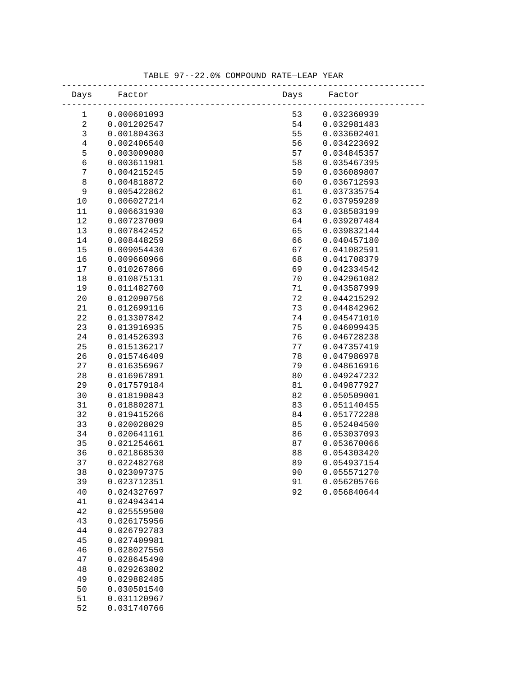| Days             | Factor                     | Days | Factor      |  |
|------------------|----------------------------|------|-------------|--|
| 1                | 0.000601093                | 53   | 0.032360939 |  |
| $\sqrt{2}$       | 0.001202547                | 54   | 0.032981483 |  |
| $\mathsf 3$      | 0.001804363                | 55   | 0.033602401 |  |
| $\bf 4$          | 0.002406540                | 56   | 0.034223692 |  |
| 5                | 0.003009080                | 57   | 0.034845357 |  |
| $\overline{6}$   | 0.003611981                | 58   | 0.035467395 |  |
| $\boldsymbol{7}$ | 0.004215245                | 59   | 0.036089807 |  |
| $\,8\,$          | 0.004818872                | 60   | 0.036712593 |  |
| 9                | 0.005422862                | 61   | 0.037335754 |  |
| 10               | 0.006027214                | 62   | 0.037959289 |  |
| 11               | 0.006631930                | 63   | 0.038583199 |  |
| 12               | 0.007237009                | 64   | 0.039207484 |  |
| 13               | 0.007842452                | 65   | 0.039832144 |  |
| 14               | 0.008448259                | 66   | 0.040457180 |  |
| 15               | 0.009054430                | 67   | 0.041082591 |  |
| 16               | 0.009660966                | 68   | 0.041708379 |  |
| 17               | 0.010267866                | 69   | 0.042334542 |  |
| 18               | 0.010875131                | 70   | 0.042961082 |  |
| 19               | 0.011482760                | 71   | 0.043587999 |  |
| 20               | 0.012090756                | 72   | 0.044215292 |  |
| 21               | 0.012699116                | 73   | 0.044842962 |  |
| 22               | 0.013307842                | 74   | 0.045471010 |  |
| 23               | 0.013916935                | 75   | 0.046099435 |  |
| 24               | 0.014526393                | 76   | 0.046728238 |  |
| 25               | 0.015136217                | 77   | 0.047357419 |  |
| 26               | 0.015746409                | 78   | 0.047986978 |  |
| 27               | 0.016356967                | 79   | 0.048616916 |  |
| 28               | 0.016967891                | 80   | 0.049247232 |  |
| 29               | 0.017579184                | 81   | 0.049877927 |  |
| 30               | 0.018190843                | 82   | 0.050509001 |  |
| 31               | 0.018802871                | 83   | 0.051140455 |  |
| 32               | 0.019415266                | 84   | 0.051772288 |  |
| 33               | 0.020028029                | 85   | 0.052404500 |  |
| 34               | 0.020641161                | 86   | 0.053037093 |  |
| 35               | 0.021254661                | 87   | 0.053670066 |  |
| 36               | 0.021868530                | 88   | 0.054303420 |  |
| 37               | 0.022482768                | 89   | 0.054937154 |  |
| 38               | 0.023097375                | 90   | 0.055571270 |  |
| 39               | 0.023712351                | 91   | 0.056205766 |  |
| $40$             | 0.024327697                | 92   | 0.056840644 |  |
| 41               | 0.024943414                |      |             |  |
| 42               | 0.025559500                |      |             |  |
| 43               | 0.026175956                |      |             |  |
| 44               | 0.026792783                |      |             |  |
| 45<br>46         | 0.027409981<br>0.028027550 |      |             |  |
| 47               | 0.028645490                |      |             |  |
| 48               | 0.029263802                |      |             |  |
|                  |                            |      |             |  |
| 49               | 0.029882485                |      |             |  |
| 50               | 0.030501540                |      |             |  |
| 51               | 0.031120967                |      |             |  |
| 52               | 0.031740766                |      |             |  |

### TABLE 97--22.0% COMPOUND RATE—LEAP YEAR -----------------------------------------------------------------------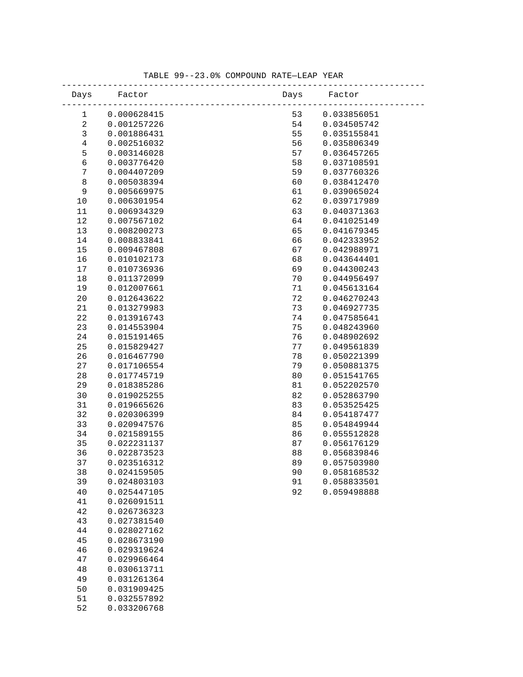| Days             | Factor                     | Days | Factor      |
|------------------|----------------------------|------|-------------|
| 1                | 0.000628415                | 53   | 0.033856051 |
| $\sqrt{2}$       | 0.001257226                | 54   | 0.034505742 |
| $\mathsf 3$      | 0.001886431                | 55   | 0.035155841 |
| $\,4$            | 0.002516032                | 56   | 0.035806349 |
| 5                | 0.003146028                | 57   | 0.036457265 |
| $\epsilon$       | 0.003776420                | 58   | 0.037108591 |
| $\boldsymbol{7}$ | 0.004407209                | 59   | 0.037760326 |
| $\,8\,$          | 0.005038394                | 60   | 0.038412470 |
| $\mathsf 9$      | 0.005669975                | 61   | 0.039065024 |
| 10               | 0.006301954                | 62   | 0.039717989 |
| 11               | 0.006934329                | 63   | 0.040371363 |
| 12               | 0.007567102                | 64   | 0.041025149 |
| 13               | 0.008200273                | 65   | 0.041679345 |
| 14               | 0.008833841                | 66   | 0.042333952 |
| 15               | 0.009467808                | 67   | 0.042988971 |
| 16               | 0.010102173                | 68   | 0.043644401 |
| 17               | 0.010736936                | 69   | 0.044300243 |
| 18               | 0.011372099                | 70   | 0.044956497 |
| 19               | 0.012007661                | 71   | 0.045613164 |
| 20               | 0.012643622                | 72   | 0.046270243 |
| 21               | 0.013279983                | 73   | 0.046927735 |
| 22               | 0.013916743                | 74   | 0.047585641 |
| 23               | 0.014553904                | 75   | 0.048243960 |
| 24               | 0.015191465                | 76   | 0.048902692 |
| 25               | 0.015829427                | 77   | 0.049561839 |
| 26               | 0.016467790                | 78   | 0.050221399 |
| 27               | 0.017106554                | 79   | 0.050881375 |
| 28               | 0.017745719                | 80   | 0.051541765 |
| 29               | 0.018385286                | 81   | 0.052202570 |
| 30               | 0.019025255                | 82   | 0.052863790 |
| 31               | 0.019665626                | 83   | 0.053525425 |
| 32               | 0.020306399                | 84   | 0.054187477 |
| 33               | 0.020947576                | 85   | 0.054849944 |
| 34               | 0.021589155                | 86   | 0.055512828 |
| 35               | 0.022231137                | 87   | 0.056176129 |
| 36               | 0.022873523                | 88   | 0.056839846 |
| 37               | 0.023516312                | 89   | 0.057503980 |
| 38               | 0.024159505                | 90   | 0.058168532 |
| 39               | 0.024803103                | 91   | 0.058833501 |
| 40               | 0.025447105                | 92   | 0.059498888 |
| 41               | 0.026091511                |      |             |
| 42               | 0.026736323                |      |             |
| 43<br>44         | 0.027381540<br>0.028027162 |      |             |
| 45               | 0.028673190                |      |             |
| 46               | 0.029319624                |      |             |
| 47               | 0.029966464                |      |             |
| 48               | 0.030613711                |      |             |
| 49               | 0.031261364                |      |             |
|                  |                            |      |             |
| 50               | 0.031909425                |      |             |
| 51<br>52         | 0.032557892                |      |             |
|                  | 0.033206768                |      |             |

### TABLE 99--23.0% COMPOUND RATE—LEAP YEAR -----------------------------------------------------------------------